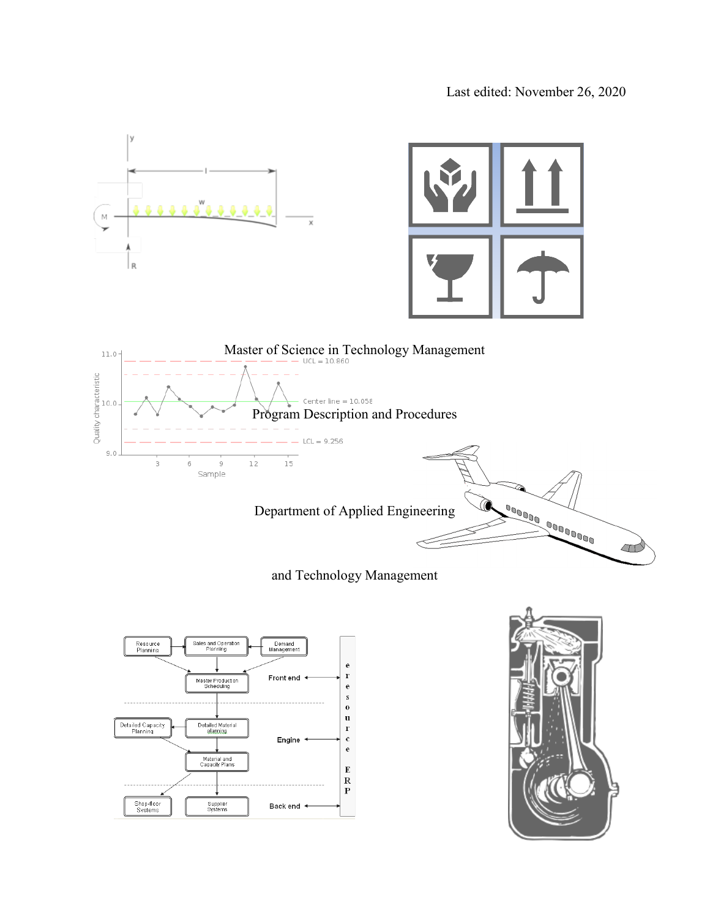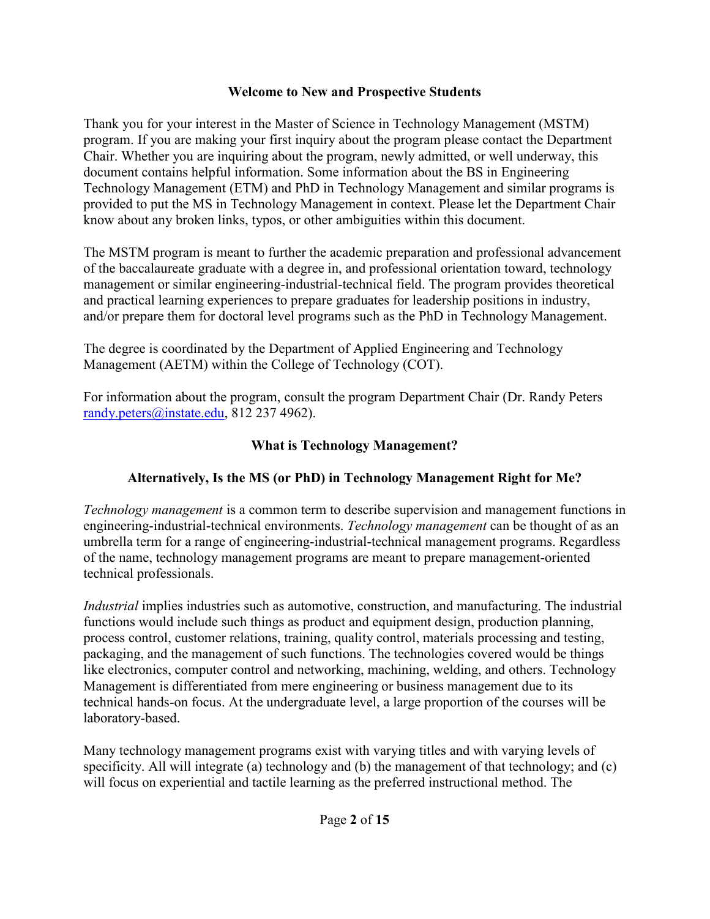#### **Welcome to New and Prospective Students**

Thank you for your interest in the Master of Science in Technology Management (MSTM) program. If you are making your first inquiry about the program please contact the Department Chair. Whether you are inquiring about the program, newly admitted, or well underway, this document contains helpful information. Some information about the BS in Engineering Technology Management (ETM) and PhD in Technology Management and similar programs is provided to put the MS in Technology Management in context. Please let the Department Chair know about any broken links, typos, or other ambiguities within this document.

The MSTM program is meant to further the academic preparation and professional advancement of the baccalaureate graduate with a degree in, and professional orientation toward, technology management or similar engineering-industrial-technical field. The program provides theoretical and practical learning experiences to prepare graduates for leadership positions in industry, and/or prepare them for doctoral level programs such as the PhD in Technology Management.

The degree is coordinated by the Department of Applied Engineering and Technology Management (AETM) within the College of Technology (COT).

For information about the program, consult the program Department Chair (Dr. Randy Peters [randy.peters@instate.edu,](about:blank) 812 237 4962).

### **What is Technology Management?**

## **Alternatively, Is the MS (or PhD) in Technology Management Right for Me?**

*Technology management* is a common term to describe supervision and management functions in engineering-industrial-technical environments. *Technology management* can be thought of as an umbrella term for a range of engineering-industrial-technical management programs. Regardless of the name, technology management programs are meant to prepare management-oriented technical professionals.

*Industrial* implies industries such as automotive, construction, and manufacturing. The industrial functions would include such things as product and equipment design, production planning, process control, customer relations, training, quality control, materials processing and testing, packaging, and the management of such functions. The technologies covered would be things like electronics, computer control and networking, machining, welding, and others. Technology Management is differentiated from mere engineering or business management due to its technical hands-on focus. At the undergraduate level, a large proportion of the courses will be laboratory-based.

Many technology management programs exist with varying titles and with varying levels of specificity. All will integrate (a) technology and (b) the management of that technology; and (c) will focus on experiential and tactile learning as the preferred instructional method. The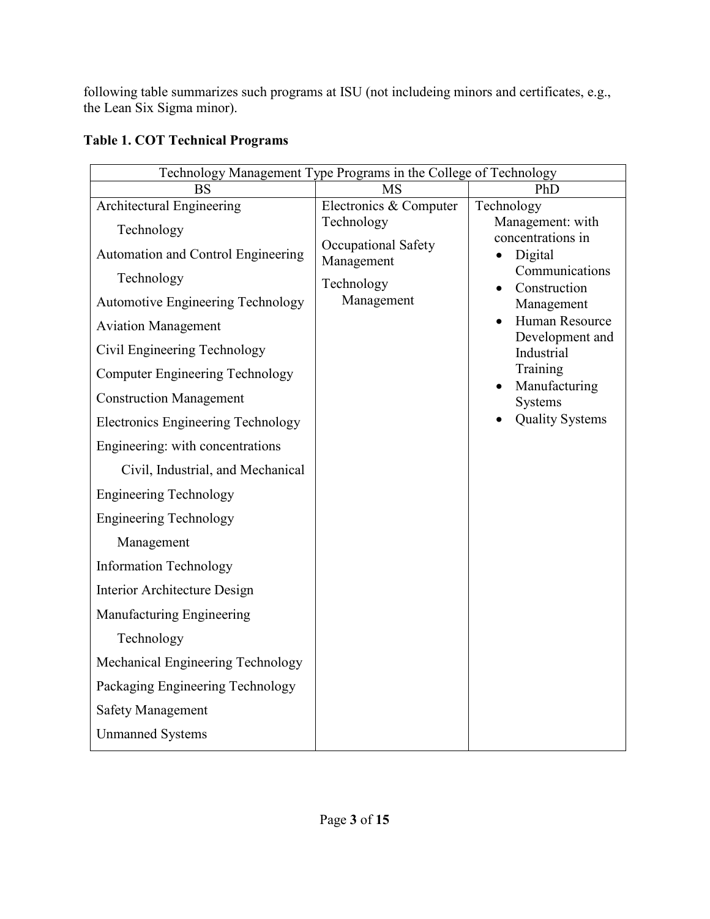following table summarizes such programs at ISU (not includeing minors and certificates, e.g., the Lean Six Sigma minor).

| Technology Management Type Programs in the College of Technology |                                   |                                        |  |
|------------------------------------------------------------------|-----------------------------------|----------------------------------------|--|
| BS                                                               | <b>MS</b>                         | PhD                                    |  |
| Architectural Engineering                                        | Electronics & Computer            | Technology                             |  |
| Technology                                                       | Technology                        | Management: with<br>concentrations in  |  |
| Automation and Control Engineering                               | Occupational Safety<br>Management | Digital                                |  |
| Technology                                                       | Technology                        | Communications<br>Construction         |  |
| <b>Automotive Engineering Technology</b>                         | Management                        | Management                             |  |
| <b>Aviation Management</b>                                       |                                   | Human Resource<br>Development and      |  |
| Civil Engineering Technology                                     |                                   | Industrial                             |  |
| <b>Computer Engineering Technology</b>                           |                                   | Training<br>Manufacturing<br>$\bullet$ |  |
| <b>Construction Management</b>                                   |                                   | Systems                                |  |
| <b>Electronics Engineering Technology</b>                        |                                   | <b>Quality Systems</b>                 |  |
| Engineering: with concentrations                                 |                                   |                                        |  |
| Civil, Industrial, and Mechanical                                |                                   |                                        |  |
| <b>Engineering Technology</b>                                    |                                   |                                        |  |
| <b>Engineering Technology</b>                                    |                                   |                                        |  |
| Management                                                       |                                   |                                        |  |
| <b>Information Technology</b>                                    |                                   |                                        |  |
| Interior Architecture Design                                     |                                   |                                        |  |
| Manufacturing Engineering                                        |                                   |                                        |  |
| Technology                                                       |                                   |                                        |  |
| Mechanical Engineering Technology                                |                                   |                                        |  |
| Packaging Engineering Technology                                 |                                   |                                        |  |
| <b>Safety Management</b>                                         |                                   |                                        |  |
| <b>Unmanned Systems</b>                                          |                                   |                                        |  |

### **Table 1. COT Technical Programs**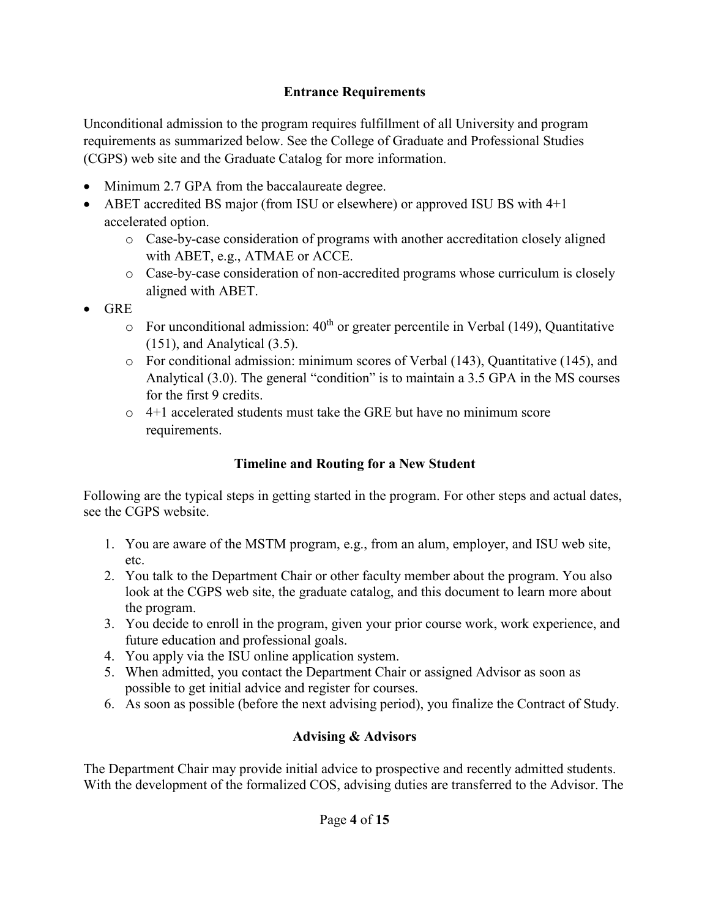#### **Entrance Requirements**

Unconditional admission to the program requires fulfillment of all University and program requirements as summarized below. See the College of Graduate and Professional Studies (CGPS) web site and the Graduate Catalog for more information.

- Minimum 2.7 GPA from the baccalaureate degree.
- ABET accredited BS major (from ISU or elsewhere) or approved ISU BS with 4+1 accelerated option.
	- o Case-by-case consideration of programs with another accreditation closely aligned with ABET, e.g., ATMAE or ACCE.
	- o Case-by-case consideration of non-accredited programs whose curriculum is closely aligned with ABET.
- GRE
	- $\circ$  For unconditional admission: 40<sup>th</sup> or greater percentile in Verbal (149), Quantitative (151), and Analytical (3.5).
	- o For conditional admission: minimum scores of Verbal (143), Quantitative (145), and Analytical (3.0). The general "condition" is to maintain a 3.5 GPA in the MS courses for the first 9 credits.
	- $\circ$  4+1 accelerated students must take the GRE but have no minimum score requirements.

## **Timeline and Routing for a New Student**

Following are the typical steps in getting started in the program. For other steps and actual dates, see the CGPS website.

- 1. You are aware of the MSTM program, e.g., from an alum, employer, and ISU web site, etc.
- 2. You talk to the Department Chair or other faculty member about the program. You also look at the CGPS web site, the graduate catalog, and this document to learn more about the program.
- 3. You decide to enroll in the program, given your prior course work, work experience, and future education and professional goals.
- 4. You apply via the ISU online application system.
- 5. When admitted, you contact the Department Chair or assigned Advisor as soon as possible to get initial advice and register for courses.
- 6. As soon as possible (before the next advising period), you finalize the Contract of Study.

## **Advising & Advisors**

The Department Chair may provide initial advice to prospective and recently admitted students. With the development of the formalized COS, advising duties are transferred to the Advisor. The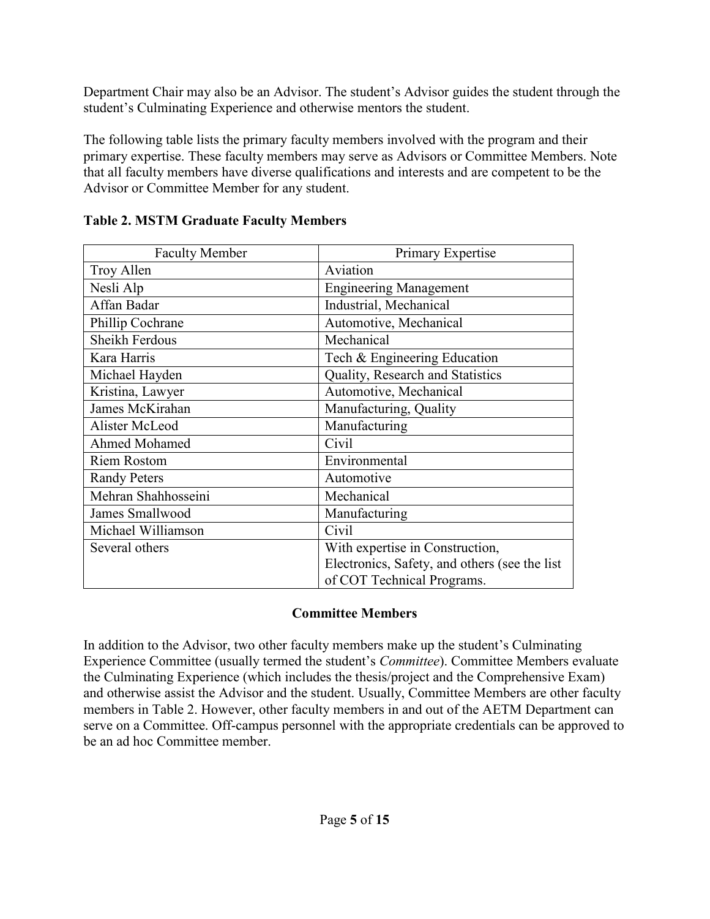Department Chair may also be an Advisor. The student's Advisor guides the student through the student's Culminating Experience and otherwise mentors the student.

The following table lists the primary faculty members involved with the program and their primary expertise. These faculty members may serve as Advisors or Committee Members. Note that all faculty members have diverse qualifications and interests and are competent to be the Advisor or Committee Member for any student.

| <b>Faculty Member</b> | Primary Expertise                             |
|-----------------------|-----------------------------------------------|
| Troy Allen            | Aviation                                      |
| Nesli Alp             | <b>Engineering Management</b>                 |
| Affan Badar           | Industrial, Mechanical                        |
| Phillip Cochrane      | Automotive, Mechanical                        |
| Sheikh Ferdous        | Mechanical                                    |
| Kara Harris           | Tech & Engineering Education                  |
| Michael Hayden        | Quality, Research and Statistics              |
| Kristina, Lawyer      | Automotive, Mechanical                        |
| James McKirahan       | Manufacturing, Quality                        |
| Alister McLeod        | Manufacturing                                 |
| Ahmed Mohamed         | Civil                                         |
| <b>Riem Rostom</b>    | Environmental                                 |
| <b>Randy Peters</b>   | Automotive                                    |
| Mehran Shahhosseini   | Mechanical                                    |
| James Smallwood       | Manufacturing                                 |
| Michael Williamson    | Civil                                         |
| Several others        | With expertise in Construction,               |
|                       | Electronics, Safety, and others (see the list |
|                       | of COT Technical Programs.                    |

### **Table 2. MSTM Graduate Faculty Members**

#### **Committee Members**

In addition to the Advisor, two other faculty members make up the student's Culminating Experience Committee (usually termed the student's *Committee*). Committee Members evaluate the Culminating Experience (which includes the thesis/project and the Comprehensive Exam) and otherwise assist the Advisor and the student. Usually, Committee Members are other faculty members in Table 2. However, other faculty members in and out of the AETM Department can serve on a Committee. Off-campus personnel with the appropriate credentials can be approved to be an ad hoc Committee member.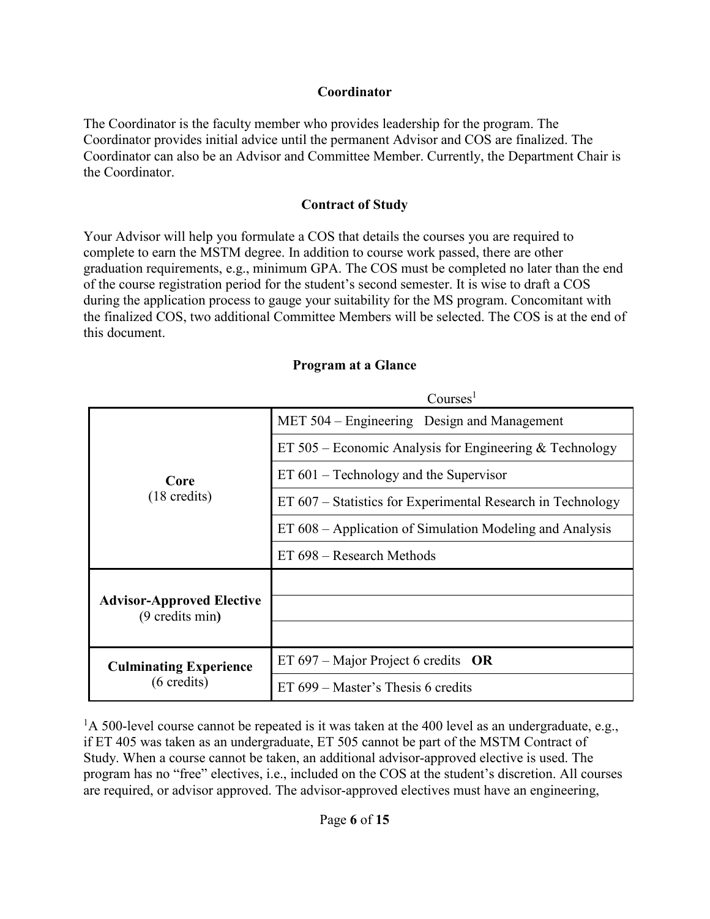#### **Coordinator**

The Coordinator is the faculty member who provides leadership for the program. The Coordinator provides initial advice until the permanent Advisor and COS are finalized. The Coordinator can also be an Advisor and Committee Member. Currently, the Department Chair is the Coordinator.

#### **Contract of Study**

Your Advisor will help you formulate a COS that details the courses you are required to complete to earn the MSTM degree. In addition to course work passed, there are other graduation requirements, e.g., minimum GPA. The COS must be completed no later than the end of the course registration period for the student's second semester. It is wise to draft a COS during the application process to gauge your suitability for the MS program. Concomitant with the finalized COS, two additional Committee Members will be selected. The COS is at the end of this document.

|                                                        | Courses:                                                    |  |
|--------------------------------------------------------|-------------------------------------------------------------|--|
| Core<br>$(18 \text{ credits})$                         | MET 504 – Engineering Design and Management                 |  |
|                                                        | ET $505$ – Economic Analysis for Engineering & Technology   |  |
|                                                        | $ET 601 - Technology$ and the Supervisor                    |  |
|                                                        | ET 607 – Statistics for Experimental Research in Technology |  |
|                                                        | ET 608 – Application of Simulation Modeling and Analysis    |  |
|                                                        | ET 698 – Research Methods                                   |  |
|                                                        |                                                             |  |
| <b>Advisor-Approved Elective</b><br>(9 credits min)    |                                                             |  |
|                                                        |                                                             |  |
| <b>Culminating Experience</b><br>$(6 \text{ credits})$ | ET 697 – Major Project 6 credits OR                         |  |
|                                                        | ET $699$ – Master's Thesis 6 credits                        |  |

#### **Program at a Glance**

 $\sim$  1

 $1A$  500-level course cannot be repeated is it was taken at the 400 level as an undergraduate, e.g., if ET 405 was taken as an undergraduate, ET 505 cannot be part of the MSTM Contract of Study. When a course cannot be taken, an additional advisor-approved elective is used. The program has no "free" electives, i.e., included on the COS at the student's discretion. All courses are required, or advisor approved. The advisor-approved electives must have an engineering,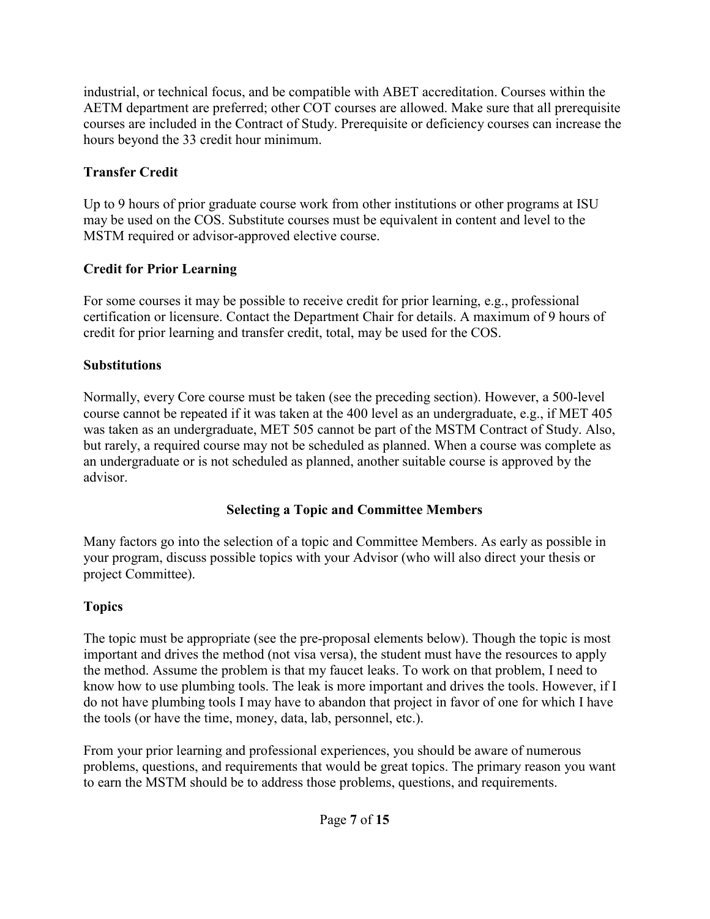industrial, or technical focus, and be compatible with ABET accreditation. Courses within the AETM department are preferred; other COT courses are allowed. Make sure that all prerequisite courses are included in the Contract of Study. Prerequisite or deficiency courses can increase the hours beyond the 33 credit hour minimum.

## **Transfer Credit**

Up to 9 hours of prior graduate course work from other institutions or other programs at ISU may be used on the COS. Substitute courses must be equivalent in content and level to the MSTM required or advisor-approved elective course.

### **Credit for Prior Learning**

For some courses it may be possible to receive credit for prior learning, e.g., professional certification or licensure. Contact the Department Chair for details. A maximum of 9 hours of credit for prior learning and transfer credit, total, may be used for the COS.

### **Substitutions**

Normally, every Core course must be taken (see the preceding section). However, a 500-level course cannot be repeated if it was taken at the 400 level as an undergraduate, e.g., if MET 405 was taken as an undergraduate, MET 505 cannot be part of the MSTM Contract of Study. Also, but rarely, a required course may not be scheduled as planned. When a course was complete as an undergraduate or is not scheduled as planned, another suitable course is approved by the advisor.

## **Selecting a Topic and Committee Members**

Many factors go into the selection of a topic and Committee Members. As early as possible in your program, discuss possible topics with your Advisor (who will also direct your thesis or project Committee).

## **Topics**

The topic must be appropriate (see the pre-proposal elements below). Though the topic is most important and drives the method (not visa versa), the student must have the resources to apply the method. Assume the problem is that my faucet leaks. To work on that problem, I need to know how to use plumbing tools. The leak is more important and drives the tools. However, if I do not have plumbing tools I may have to abandon that project in favor of one for which I have the tools (or have the time, money, data, lab, personnel, etc.).

From your prior learning and professional experiences, you should be aware of numerous problems, questions, and requirements that would be great topics. The primary reason you want to earn the MSTM should be to address those problems, questions, and requirements.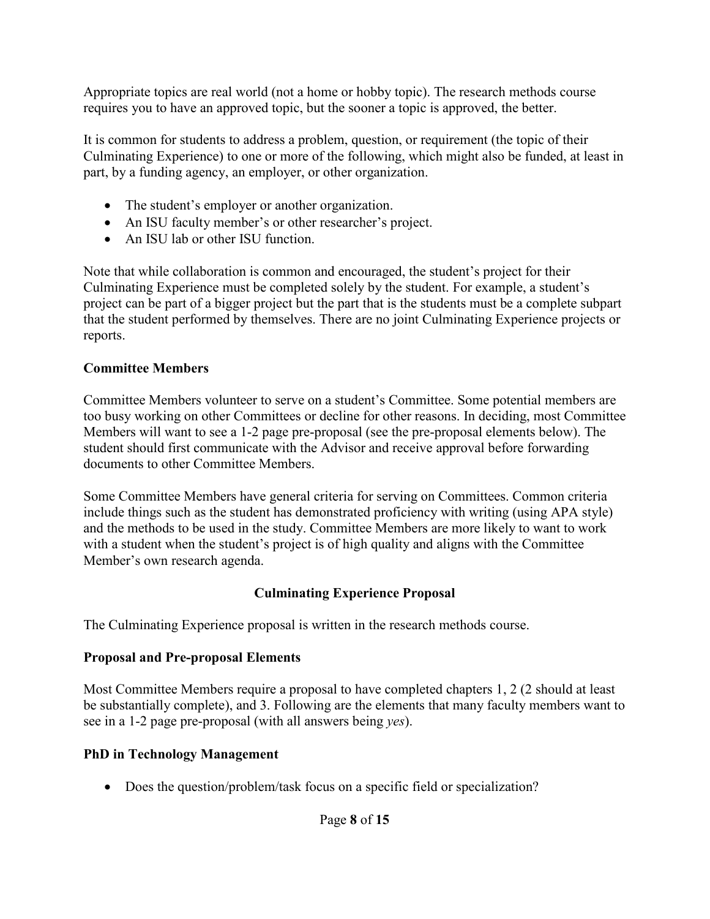Appropriate topics are real world (not a home or hobby topic). The research methods course requires you to have an approved topic, but the sooner a topic is approved, the better.

It is common for students to address a problem, question, or requirement (the topic of their Culminating Experience) to one or more of the following, which might also be funded, at least in part, by a funding agency, an employer, or other organization.

- The student's employer or another organization.
- An ISU faculty member's or other researcher's project.
- An ISU lab or other ISU function.

Note that while collaboration is common and encouraged, the student's project for their Culminating Experience must be completed solely by the student. For example, a student's project can be part of a bigger project but the part that is the students must be a complete subpart that the student performed by themselves. There are no joint Culminating Experience projects or reports.

## **Committee Members**

Committee Members volunteer to serve on a student's Committee. Some potential members are too busy working on other Committees or decline for other reasons. In deciding, most Committee Members will want to see a 1-2 page pre-proposal (see the pre-proposal elements below). The student should first communicate with the Advisor and receive approval before forwarding documents to other Committee Members.

Some Committee Members have general criteria for serving on Committees. Common criteria include things such as the student has demonstrated proficiency with writing (using APA style) and the methods to be used in the study. Committee Members are more likely to want to work with a student when the student's project is of high quality and aligns with the Committee Member's own research agenda.

## **Culminating Experience Proposal**

The Culminating Experience proposal is written in the research methods course.

## **Proposal and Pre-proposal Elements**

Most Committee Members require a proposal to have completed chapters 1, 2 (2 should at least be substantially complete), and 3. Following are the elements that many faculty members want to see in a 1-2 page pre-proposal (with all answers being *yes*).

## **PhD in Technology Management**

• Does the question/problem/task focus on a specific field or specialization?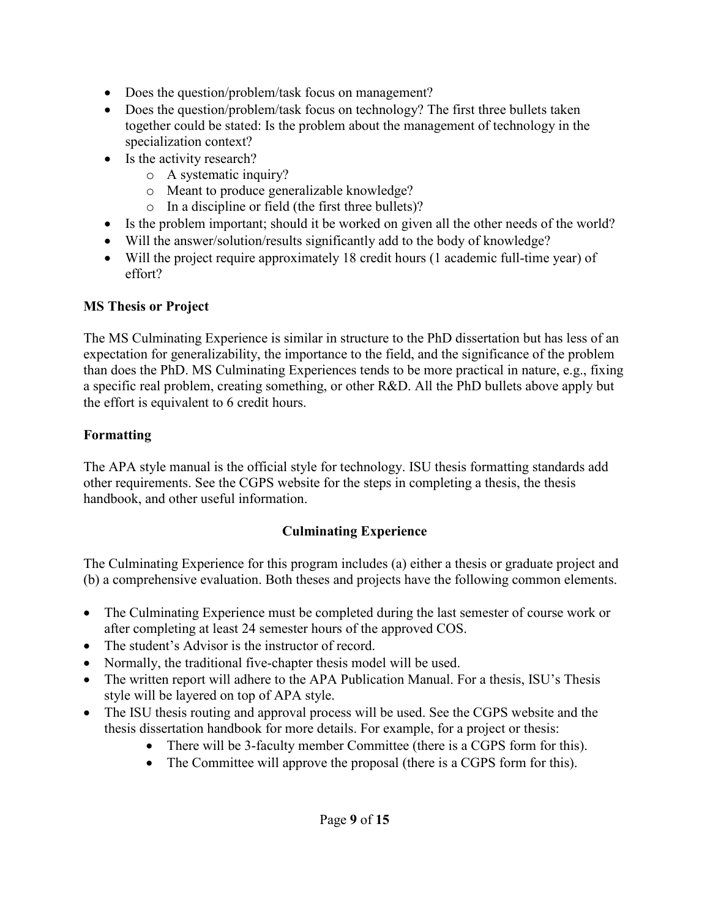- Does the question/problem/task focus on management?
- Does the question/problem/task focus on technology? The first three bullets taken together could be stated: Is the problem about the management of technology in the specialization context?
- Is the activity research?
	- o A systematic inquiry?
	- o Meant to produce generalizable knowledge?
	- o In a discipline or field (the first three bullets)?
- Is the problem important; should it be worked on given all the other needs of the world?
- Will the answer/solution/results significantly add to the body of knowledge?
- Will the project require approximately 18 credit hours (1 academic full-time year) of effort?

### **MS Thesis or Project**

The MS Culminating Experience is similar in structure to the PhD dissertation but has less of an expectation for generalizability, the importance to the field, and the significance of the problem than does the PhD. MS Culminating Experiences tends to be more practical in nature, e.g., fixing a specific real problem, creating something, or other R&D. All the PhD bullets above apply but the effort is equivalent to 6 credit hours.

### **Formatting**

The APA style manual is the official style for technology. ISU thesis formatting standards add other requirements. See the CGPS website for the steps in completing a thesis, the thesis handbook, and other useful information.

## **Culminating Experience**

The Culminating Experience for this program includes (a) either a thesis or graduate project and (b) a comprehensive evaluation. Both theses and projects have the following common elements.

- The Culminating Experience must be completed during the last semester of course work or after completing at least 24 semester hours of the approved COS.
- The student's Advisor is the instructor of record.
- Normally, the traditional five-chapter thesis model will be used.
- The written report will adhere to the APA Publication Manual. For a thesis, ISU's Thesis style will be layered on top of APA style.
- The ISU thesis routing and approval process will be used. See the CGPS website and the thesis dissertation handbook for more details. For example, for a project or thesis:
	- There will be 3-faculty member Committee (there is a CGPS form for this).
	- The Committee will approve the proposal (there is a CGPS form for this).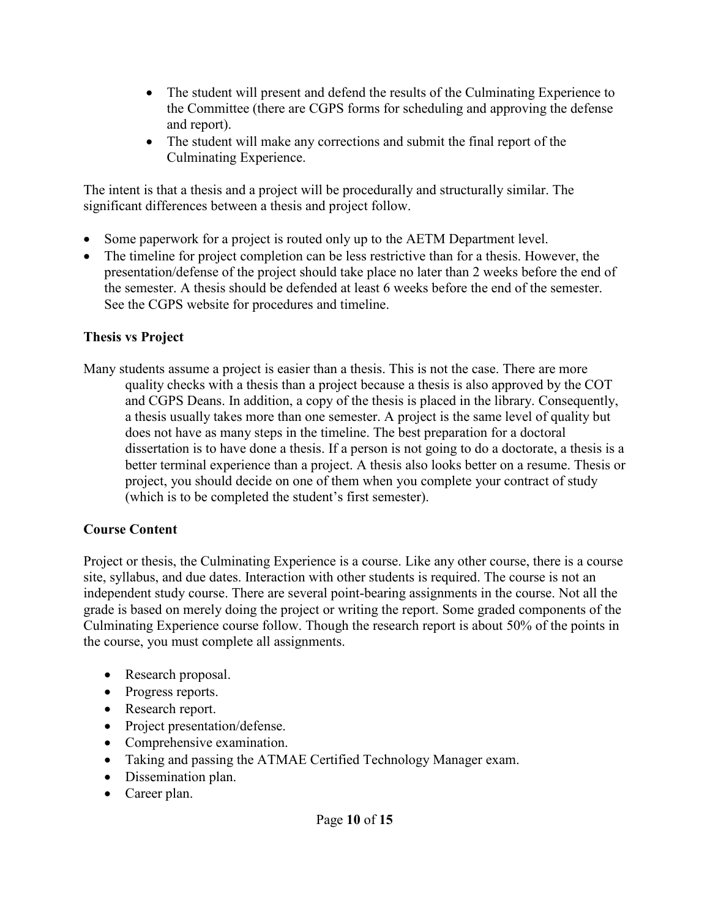- The student will present and defend the results of the Culminating Experience to the Committee (there are CGPS forms for scheduling and approving the defense and report).
- The student will make any corrections and submit the final report of the Culminating Experience.

The intent is that a thesis and a project will be procedurally and structurally similar. The significant differences between a thesis and project follow.

- Some paperwork for a project is routed only up to the AETM Department level.
- The timeline for project completion can be less restrictive than for a thesis. However, the presentation/defense of the project should take place no later than 2 weeks before the end of the semester. A thesis should be defended at least 6 weeks before the end of the semester. See the CGPS website for procedures and timeline.

## **Thesis vs Project**

Many students assume a project is easier than a thesis. This is not the case. There are more quality checks with a thesis than a project because a thesis is also approved by the COT and CGPS Deans. In addition, a copy of the thesis is placed in the library. Consequently, a thesis usually takes more than one semester. A project is the same level of quality but does not have as many steps in the timeline. The best preparation for a doctoral dissertation is to have done a thesis. If a person is not going to do a doctorate, a thesis is a better terminal experience than a project. A thesis also looks better on a resume. Thesis or project, you should decide on one of them when you complete your contract of study (which is to be completed the student's first semester).

## **Course Content**

Project or thesis, the Culminating Experience is a course. Like any other course, there is a course site, syllabus, and due dates. Interaction with other students is required. The course is not an independent study course. There are several point-bearing assignments in the course. Not all the grade is based on merely doing the project or writing the report. Some graded components of the Culminating Experience course follow. Though the research report is about 50% of the points in the course, you must complete all assignments.

- Research proposal.
- Progress reports.
- Research report.
- Project presentation/defense.
- Comprehensive examination.
- Taking and passing the ATMAE Certified Technology Manager exam.
- Dissemination plan.
- Career plan.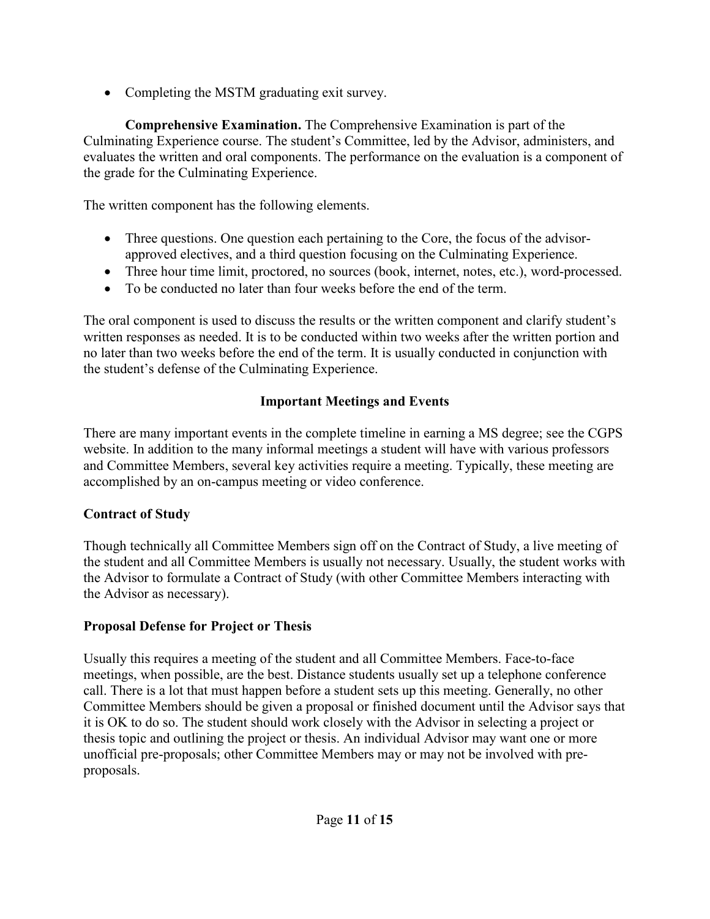• Completing the MSTM graduating exit survey.

**Comprehensive Examination.** The Comprehensive Examination is part of the Culminating Experience course. The student's Committee, led by the Advisor, administers, and evaluates the written and oral components. The performance on the evaluation is a component of the grade for the Culminating Experience.

The written component has the following elements.

- Three questions. One question each pertaining to the Core, the focus of the advisorapproved electives, and a third question focusing on the Culminating Experience.
- Three hour time limit, proctored, no sources (book, internet, notes, etc.), word-processed.
- To be conducted no later than four weeks before the end of the term.

The oral component is used to discuss the results or the written component and clarify student's written responses as needed. It is to be conducted within two weeks after the written portion and no later than two weeks before the end of the term. It is usually conducted in conjunction with the student's defense of the Culminating Experience.

## **Important Meetings and Events**

There are many important events in the complete timeline in earning a MS degree; see the CGPS website. In addition to the many informal meetings a student will have with various professors and Committee Members, several key activities require a meeting. Typically, these meeting are accomplished by an on-campus meeting or video conference.

## **Contract of Study**

Though technically all Committee Members sign off on the Contract of Study, a live meeting of the student and all Committee Members is usually not necessary. Usually, the student works with the Advisor to formulate a Contract of Study (with other Committee Members interacting with the Advisor as necessary).

## **Proposal Defense for Project or Thesis**

Usually this requires a meeting of the student and all Committee Members. Face-to-face meetings, when possible, are the best. Distance students usually set up a telephone conference call. There is a lot that must happen before a student sets up this meeting. Generally, no other Committee Members should be given a proposal or finished document until the Advisor says that it is OK to do so. The student should work closely with the Advisor in selecting a project or thesis topic and outlining the project or thesis. An individual Advisor may want one or more unofficial pre-proposals; other Committee Members may or may not be involved with preproposals.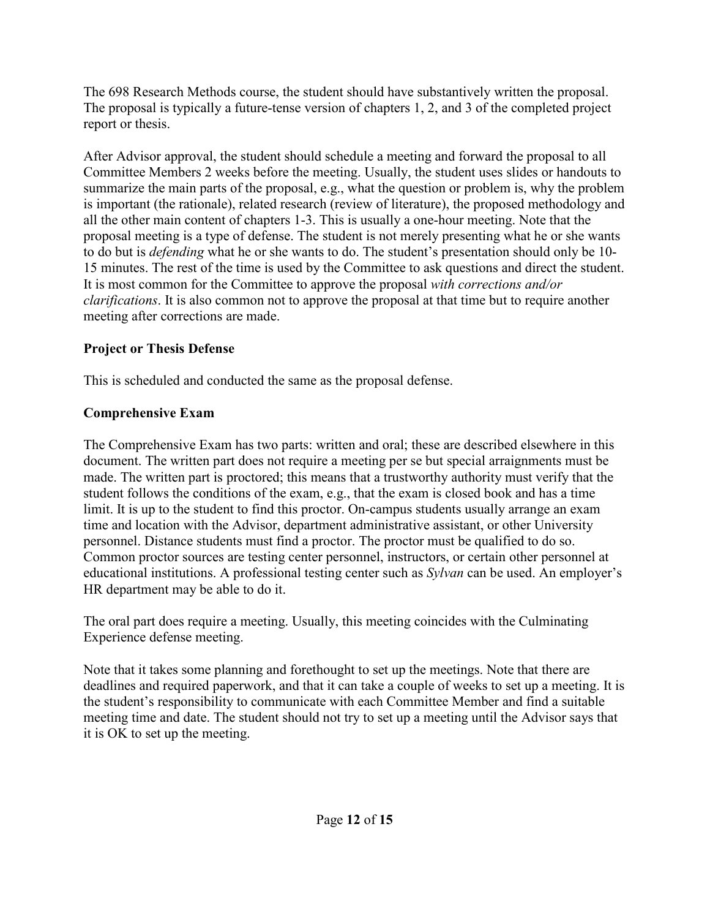The 698 Research Methods course, the student should have substantively written the proposal. The proposal is typically a future-tense version of chapters 1, 2, and 3 of the completed project report or thesis.

After Advisor approval, the student should schedule a meeting and forward the proposal to all Committee Members 2 weeks before the meeting. Usually, the student uses slides or handouts to summarize the main parts of the proposal, e.g., what the question or problem is, why the problem is important (the rationale), related research (review of literature), the proposed methodology and all the other main content of chapters 1-3. This is usually a one-hour meeting. Note that the proposal meeting is a type of defense. The student is not merely presenting what he or she wants to do but is *defending* what he or she wants to do. The student's presentation should only be 10- 15 minutes. The rest of the time is used by the Committee to ask questions and direct the student. It is most common for the Committee to approve the proposal *with corrections and/or clarifications*. It is also common not to approve the proposal at that time but to require another meeting after corrections are made.

## **Project or Thesis Defense**

This is scheduled and conducted the same as the proposal defense.

# **Comprehensive Exam**

The Comprehensive Exam has two parts: written and oral; these are described elsewhere in this document. The written part does not require a meeting per se but special arraignments must be made. The written part is proctored; this means that a trustworthy authority must verify that the student follows the conditions of the exam, e.g., that the exam is closed book and has a time limit. It is up to the student to find this proctor. On-campus students usually arrange an exam time and location with the Advisor, department administrative assistant, or other University personnel. Distance students must find a proctor. The proctor must be qualified to do so. Common proctor sources are testing center personnel, instructors, or certain other personnel at educational institutions. A professional testing center such as *Sylvan* can be used. An employer's HR department may be able to do it.

The oral part does require a meeting. Usually, this meeting coincides with the Culminating Experience defense meeting.

Note that it takes some planning and forethought to set up the meetings. Note that there are deadlines and required paperwork, and that it can take a couple of weeks to set up a meeting. It is the student's responsibility to communicate with each Committee Member and find a suitable meeting time and date. The student should not try to set up a meeting until the Advisor says that it is OK to set up the meeting.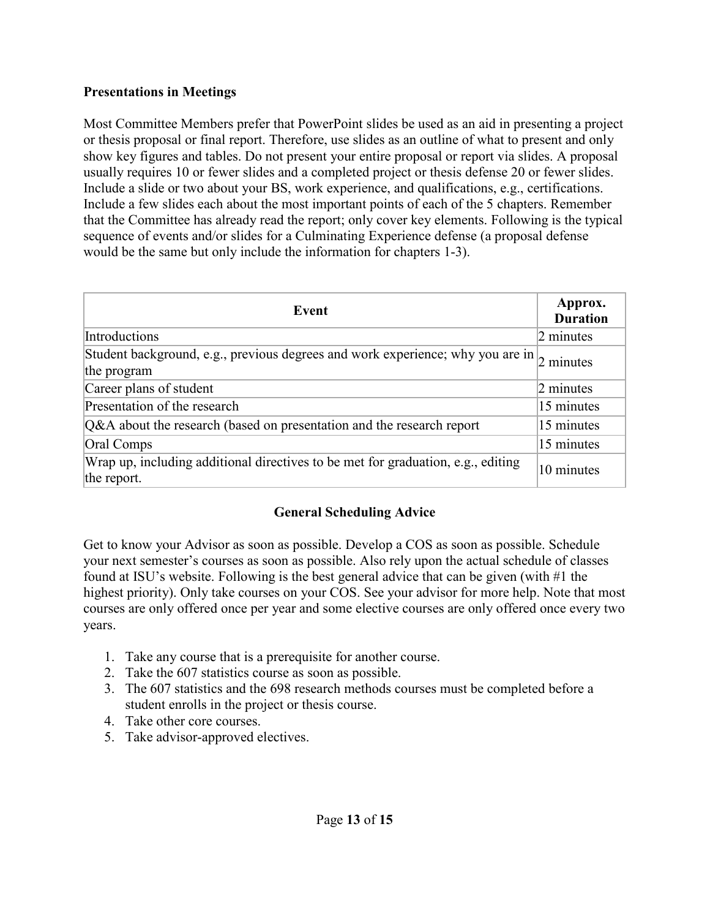#### **Presentations in Meetings**

Most Committee Members prefer that PowerPoint slides be used as an aid in presenting a project or thesis proposal or final report. Therefore, use slides as an outline of what to present and only show key figures and tables. Do not present your entire proposal or report via slides. A proposal usually requires 10 or fewer slides and a completed project or thesis defense 20 or fewer slides. Include a slide or two about your BS, work experience, and qualifications, e.g., certifications. Include a few slides each about the most important points of each of the 5 chapters. Remember that the Committee has already read the report; only cover key elements. Following is the typical sequence of events and/or slides for a Culminating Experience defense (a proposal defense would be the same but only include the information for chapters 1-3).

| Event                                                                                                               | Approx.<br><b>Duration</b> |  |
|---------------------------------------------------------------------------------------------------------------------|----------------------------|--|
| Introductions                                                                                                       | 2 minutes                  |  |
| Student background, e.g., previous degrees and work experience; why you are in $\frac{1}{2}$ minutes<br>the program |                            |  |
| Career plans of student                                                                                             | $2$ minutes                |  |
| Presentation of the research                                                                                        | 15 minutes                 |  |
| Q&A about the research (based on presentation and the research report                                               | 15 minutes                 |  |
| Oral Comps                                                                                                          | 15 minutes                 |  |
| Wrap up, including additional directives to be met for graduation, e.g., editing<br>the report.                     | 10 minutes                 |  |

#### **General Scheduling Advice**

Get to know your Advisor as soon as possible. Develop a COS as soon as possible. Schedule your next semester's courses as soon as possible. Also rely upon the actual schedule of classes found at ISU's website. Following is the best general advice that can be given (with #1 the highest priority). Only take courses on your COS. See your advisor for more help. Note that most courses are only offered once per year and some elective courses are only offered once every two years.

- 1. Take any course that is a prerequisite for another course.
- 2. Take the 607 statistics course as soon as possible.
- 3. The 607 statistics and the 698 research methods courses must be completed before a student enrolls in the project or thesis course.
- 4. Take other core courses.
- 5. Take advisor-approved electives.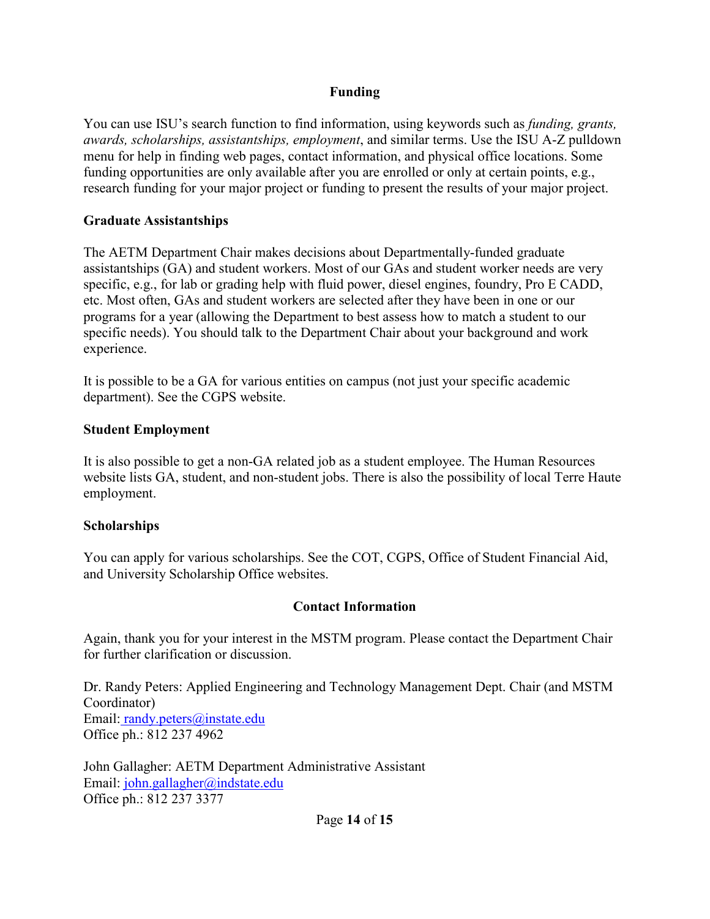#### **Funding**

You can use ISU's search function to find information, using keywords such as *funding, grants, awards, scholarships, assistantships, employment*, and similar terms. Use the ISU A-Z pulldown menu for help in finding web pages, contact information, and physical office locations. Some funding opportunities are only available after you are enrolled or only at certain points, e.g., research funding for your major project or funding to present the results of your major project.

#### **Graduate Assistantships**

The AETM Department Chair makes decisions about Departmentally-funded graduate assistantships (GA) and student workers. Most of our GAs and student worker needs are very specific, e.g., for lab or grading help with fluid power, diesel engines, foundry, Pro E CADD, etc. Most often, GAs and student workers are selected after they have been in one or our programs for a year (allowing the Department to best assess how to match a student to our specific needs). You should talk to the Department Chair about your background and work experience.

It is possible to be a GA for various entities on campus (not just your specific academic department). See the CGPS website.

#### **Student Employment**

It is also possible to get a non-GA related job as a student employee. The Human Resources website lists GA, student, and non-student jobs. There is also the possibility of local Terre Haute employment.

#### **Scholarships**

You can apply for various scholarships. See the COT, CGPS, Office of Student Financial Aid, and University Scholarship Office websites.

#### **Contact Information**

Again, thank you for your interest in the MSTM program. Please contact the Department Chair for further clarification or discussion.

Dr. Randy Peters: Applied Engineering and Technology Management Dept. Chair (and MSTM Coordinator) Email: [randy.peters@instate.edu](about:blank) Office ph.: 812 237 4962

John Gallagher: AETM Department Administrative Assistant Email: [john.gallagher@indstate.edu](about:blank) Office ph.: 812 237 3377